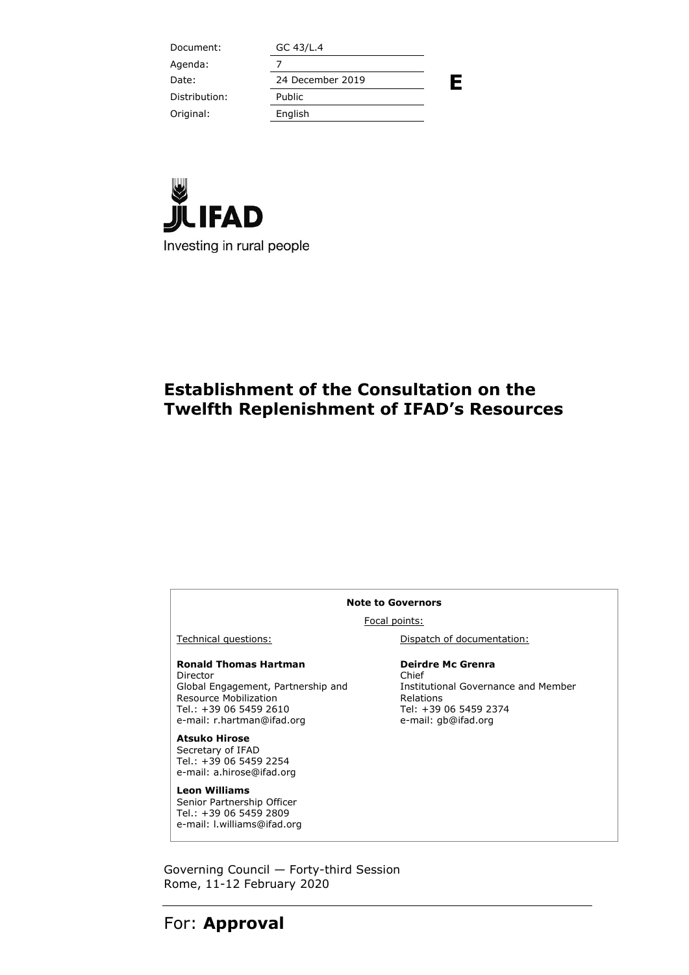| Document:     | GC 43/L.4        |   |
|---------------|------------------|---|
| Agenda:       |                  |   |
| Date:         | 24 December 2019 | Ε |
| Distribution: | Public           |   |
| Original:     | English          |   |
|               |                  |   |



## **Establishment of the Consultation on the Twelfth Replenishment of IFAD's Resources**

#### **Note to Governors**

Focal points:

**Ronald Thomas Hartman**  Director Global Engagement, Partnership and Resource Mobilization Tel.: +39 06 5459 2610 e-mail: r.hartman@ifad.org

**Atsuko Hirose**  Secretary of IFAD Tel.: +39 06 5459 2254 e-mail: a.hirose@ifad.org

**Leon Williams**  Senior Partnership Officer Tel.: +39 06 5459 2809 e-mail: l.williams@ifad.org

Technical questions: Dispatch of documentation:

**Deirdre Mc Grenra**  Chief Institutional Governance and Member Relations Tel: +39 06 5459 2374 e-mail: gb@ifad.org

Governing Council — Forty-third Session Rome, 11-12 February 2020

# For: **Approval**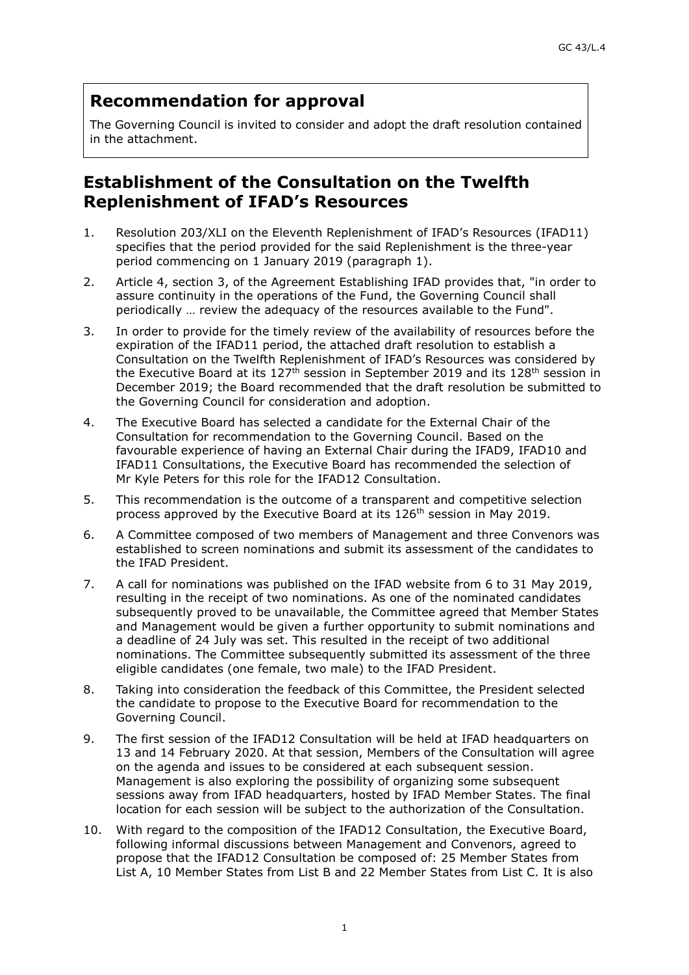### **Recommendation for approval**

The Governing Council is invited to consider and adopt the draft resolution contained in the attachment.

### **Establishment of the Consultation on the Twelfth Replenishment of IFAD's Resources**

- 1. Resolution 203/XLI on the Eleventh Replenishment of IFAD's Resources (IFAD11) specifies that the period provided for the said Replenishment is the three-year period commencing on 1 January 2019 (paragraph 1).
- 2. Article 4, section 3, of the Agreement Establishing IFAD provides that, "in order to assure continuity in the operations of the Fund, the Governing Council shall periodically … review the adequacy of the resources available to the Fund".
- 3. In order to provide for the timely review of the availability of resources before the expiration of the IFAD11 period, the attached draft resolution to establish a Consultation on the Twelfth Replenishment of IFAD's Resources was considered by the Executive Board at its  $127<sup>th</sup>$  session in September 2019 and its  $128<sup>th</sup>$  session in December 2019; the Board recommended that the draft resolution be submitted to the Governing Council for consideration and adoption.
- 4. The Executive Board has selected a candidate for the External Chair of the Consultation for recommendation to the Governing Council. Based on the favourable experience of having an External Chair during the IFAD9, IFAD10 and IFAD11 Consultations, the Executive Board has recommended the selection of Mr Kyle Peters for this role for the IFAD12 Consultation.
- 5. This recommendation is the outcome of a transparent and competitive selection process approved by the Executive Board at its 126th session in May 2019.
- 6. A Committee composed of two members of Management and three Convenors was established to screen nominations and submit its assessment of the candidates to the IFAD President.
- 7. A call for nominations was published on the IFAD website from 6 to 31 May 2019, resulting in the receipt of two nominations. As one of the nominated candidates subsequently proved to be unavailable, the Committee agreed that Member States and Management would be given a further opportunity to submit nominations and a deadline of 24 July was set. This resulted in the receipt of two additional nominations. The Committee subsequently submitted its assessment of the three eligible candidates (one female, two male) to the IFAD President.
- 8. Taking into consideration the feedback of this Committee, the President selected the candidate to propose to the Executive Board for recommendation to the Governing Council.
- 9. The first session of the IFAD12 Consultation will be held at IFAD headquarters on 13 and 14 February 2020. At that session, Members of the Consultation will agree on the agenda and issues to be considered at each subsequent session. Management is also exploring the possibility of organizing some subsequent sessions away from IFAD headquarters, hosted by IFAD Member States. The final location for each session will be subject to the authorization of the Consultation.
- 10. With regard to the composition of the IFAD12 Consultation, the Executive Board, following informal discussions between Management and Convenors, agreed to propose that the IFAD12 Consultation be composed of: 25 Member States from List A, 10 Member States from List B and 22 Member States from List C. It is also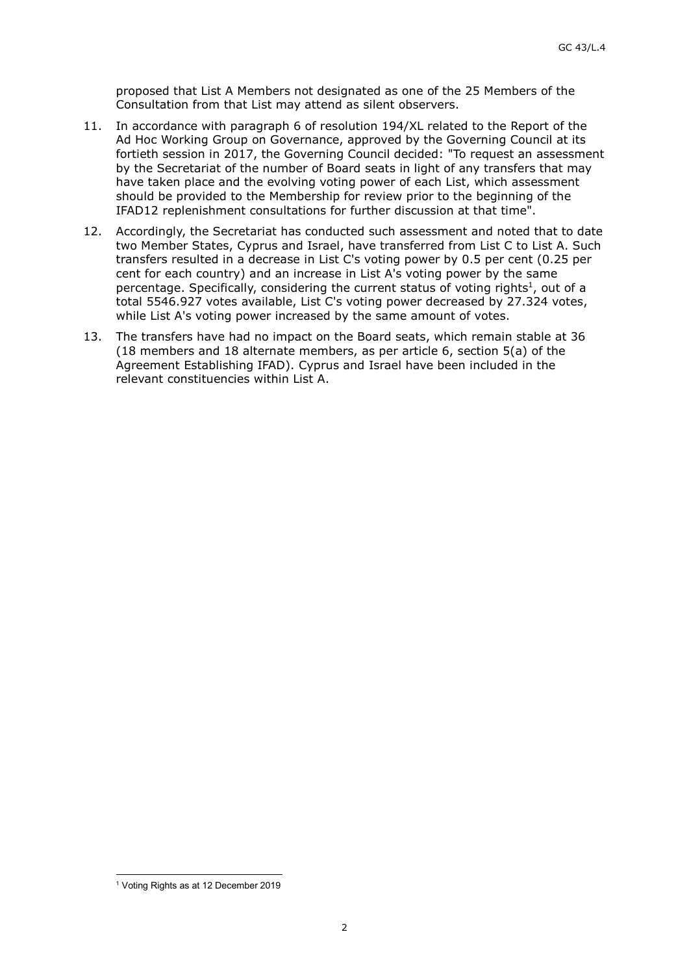proposed that List A Members not designated as one of the 25 Members of the Consultation from that List may attend as silent observers.

- 11. In accordance with paragraph 6 of resolution 194/XL related to the Report of the Ad Hoc Working Group on Governance, approved by the Governing Council at its fortieth session in 2017, the Governing Council decided: "To request an assessment by the Secretariat of the number of Board seats in light of any transfers that may have taken place and the evolving voting power of each List, which assessment should be provided to the Membership for review prior to the beginning of the IFAD12 replenishment consultations for further discussion at that time".
- 12. Accordingly, the Secretariat has conducted such assessment and noted that to date two Member States, Cyprus and Israel, have transferred from List C to List A. Such transfers resulted in a decrease in List C's voting power by 0.5 per cent (0.25 per cent for each country) and an increase in List A's voting power by the same percentage. Specifically, considering the current status of voting rights<sup>1</sup>, out of a total 5546.927 votes available, List C's voting power decreased by 27.324 votes, while List A's voting power increased by the same amount of votes.
- 13. The transfers have had no impact on the Board seats, which remain stable at 36 (18 members and 18 alternate members, as per article 6, section 5(a) of the Agreement Establishing IFAD). Cyprus and Israel have been included in the relevant constituencies within List A.

l 1 Voting Rights as at 12 December 2019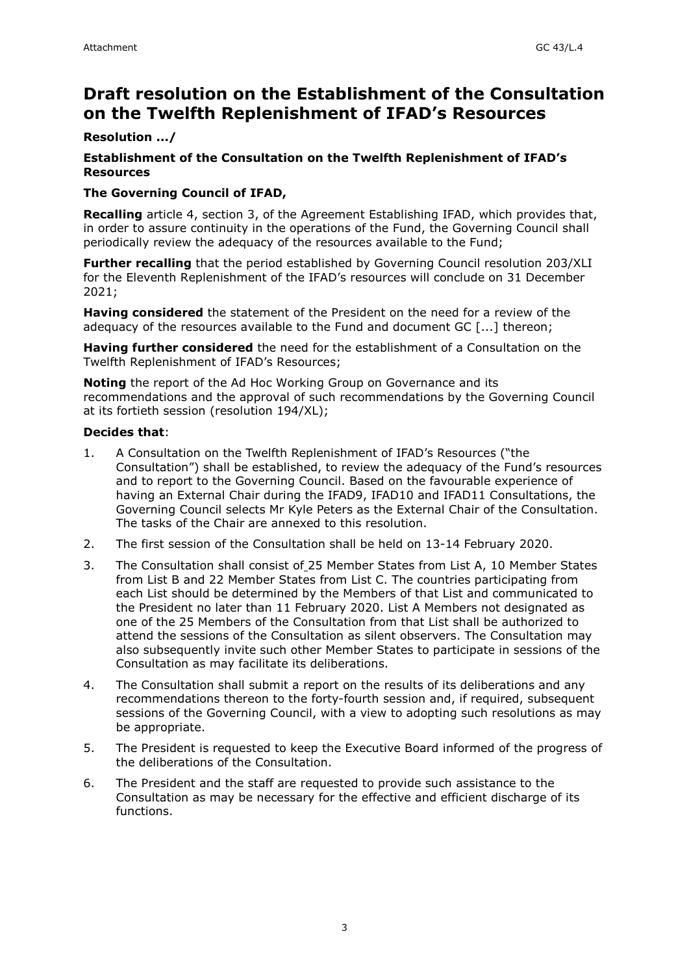## **Draft resolution on the Establishment of the Consultation on the Twelfth Replenishment of IFAD's Resources**

#### **Resolution .../**

#### **Establishment of the Consultation on the Twelfth Replenishment of IFAD's Resources**

#### **The Governing Council of IFAD,**

**Recalling** article 4, section 3, of the Agreement Establishing IFAD, which provides that, in order to assure continuity in the operations of the Fund, the Governing Council shall periodically review the adequacy of the resources available to the Fund;

**Further recalling** that the period established by Governing Council resolution 203/XLI for the Eleventh Replenishment of the IFAD's resources will conclude on 31 December 2021;

**Having considered** the statement of the President on the need for a review of the adequacy of the resources available to the Fund and document GC [...] thereon;

**Having further considered** the need for the establishment of a Consultation on the Twelfth Replenishment of IFAD's Resources;

**Noting** the report of the Ad Hoc Working Group on Governance and its recommendations and the approval of such recommendations by the Governing Council at its fortieth session (resolution 194/XL);

#### **Decides that**:

- 1. A Consultation on the Twelfth Replenishment of IFAD's Resources ("the Consultation") shall be established, to review the adequacy of the Fund's resources and to report to the Governing Council. Based on the favourable experience of having an External Chair during the IFAD9, IFAD10 and IFAD11 Consultations, the Governing Council selects Mr Kyle Peters as the External Chair of the Consultation. The tasks of the Chair are annexed to this resolution.
- 2. The first session of the Consultation shall be held on 13-14 February 2020.
- 3. The Consultation shall consist of 25 Member States from List A, 10 Member States from List B and 22 Member States from List C. The countries participating from each List should be determined by the Members of that List and communicated to the President no later than 11 February 2020. List A Members not designated as one of the 25 Members of the Consultation from that List shall be authorized to attend the sessions of the Consultation as silent observers. The Consultation may also subsequently invite such other Member States to participate in sessions of the Consultation as may facilitate its deliberations.
- 4. The Consultation shall submit a report on the results of its deliberations and any recommendations thereon to the forty-fourth session and, if required, subsequent sessions of the Governing Council, with a view to adopting such resolutions as may be appropriate.
- 5. The President is requested to keep the Executive Board informed of the progress of the deliberations of the Consultation.
- 6. The President and the staff are requested to provide such assistance to the Consultation as may be necessary for the effective and efficient discharge of its functions.